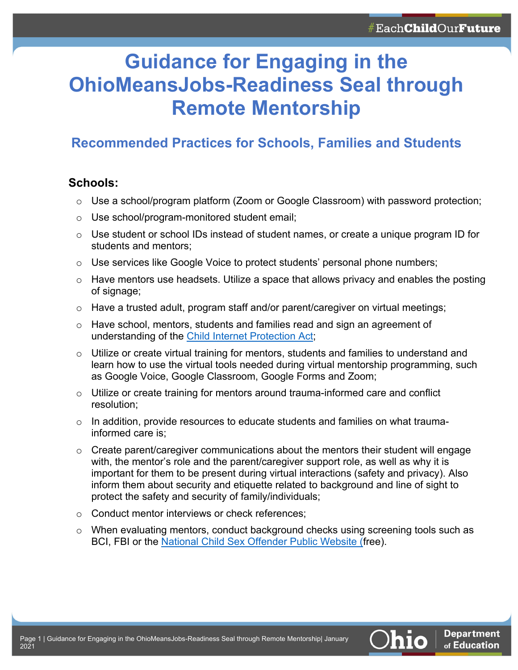# **Guidance for Engaging in the OhioMeansJobs-Readiness Seal through Remote Mentorship**

## **Recommended Practices for Schools, Families and Students**

#### **Schools:**

- $\circ$  Use a school/program platform (Zoom or Google Classroom) with password protection;
- o Use school/program-monitored student email;
- $\circ$  Use student or school IDs instead of student names, or create a unique program ID for students and mentors;
- $\circ$  Use services like Google Voice to protect students' personal phone numbers;
- $\circ$  Have mentors use headsets. Utilize a space that allows privacy and enables the posting of signage;
- $\circ$  Have a trusted adult, program staff and/or parent/caregiver on virtual meetings;
- o Have school, mentors, students and families read and sign an agreement of understanding of the Child Internet Protection Act;
- o Utilize or create virtual training for mentors, students and families to understand and learn how to use the virtual tools needed during virtual mentorship programming, such as Google Voice, Google Classroom, Google Forms and Zoom;
- $\circ$  Utilize or create training for mentors around trauma-informed care and conflict resolution;
- $\circ$  In addition, provide resources to educate students and families on what traumainformed care is;
- $\circ$  Create parent/caregiver communications about the mentors their student will engage with, the mentor's role and the parent/caregiver support role, as well as why it is important for them to be present during virtual interactions (safety and privacy). Also inform them about security and etiquette related to background and line of sight to protect the safety and security of family/individuals;
- o Conduct mentor interviews or check references;
- o When evaluating mentors, conduct background checks using screening tools such as BCI, FBI or the National Child Sex Offender Public Website (free).